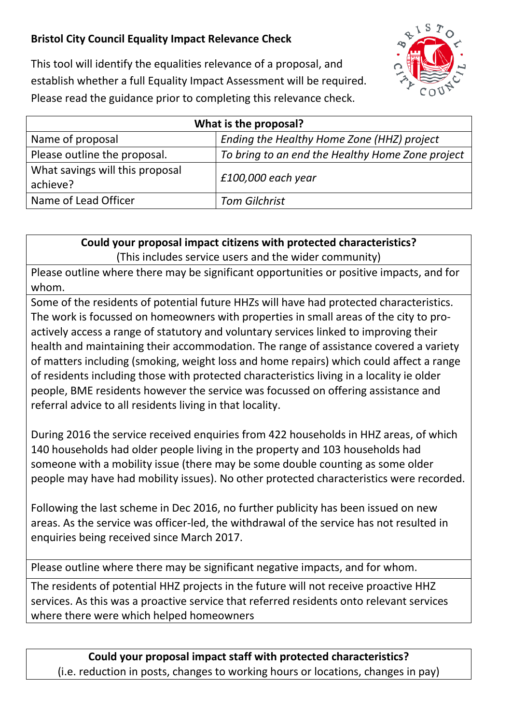## **Bristol City Council Equality Impact Relevance Check**



This tool will identify the equalities relevance of a proposal, and establish whether a full Equality Impact Assessment will be required. Please read the guidance prior to completing this relevance check.

| What is the proposal?                       |                                                  |
|---------------------------------------------|--------------------------------------------------|
| Name of proposal                            | Ending the Healthy Home Zone (HHZ) project       |
| Please outline the proposal.                | To bring to an end the Healthy Home Zone project |
| What savings will this proposal<br>achieve? | $£100,000$ each year                             |
| Name of Lead Officer                        | <b>Tom Gilchrist</b>                             |

**Could your proposal impact citizens with protected characteristics?** (This includes service users and the wider community)

Please outline where there may be significant opportunities or positive impacts, and for whom.

Some of the residents of potential future HHZs will have had protected characteristics. The work is focussed on homeowners with properties in small areas of the city to proactively access a range of statutory and voluntary services linked to improving their health and maintaining their accommodation. The range of assistance covered a variety of matters including (smoking, weight loss and home repairs) which could affect a range of residents including those with protected characteristics living in a locality ie older people, BME residents however the service was focussed on offering assistance and referral advice to all residents living in that locality.

During 2016 the service received enquiries from 422 households in HHZ areas, of which 140 households had older people living in the property and 103 households had someone with a mobility issue (there may be some double counting as some older people may have had mobility issues). No other protected characteristics were recorded.

Following the last scheme in Dec 2016, no further publicity has been issued on new areas. As the service was officer-led, the withdrawal of the service has not resulted in enquiries being received since March 2017.

Please outline where there may be significant negative impacts, and for whom.

The residents of potential HHZ projects in the future will not receive proactive HHZ services. As this was a proactive service that referred residents onto relevant services where there were which helped homeowners

**Could your proposal impact staff with protected characteristics?** (i.e. reduction in posts, changes to working hours or locations, changes in pay)